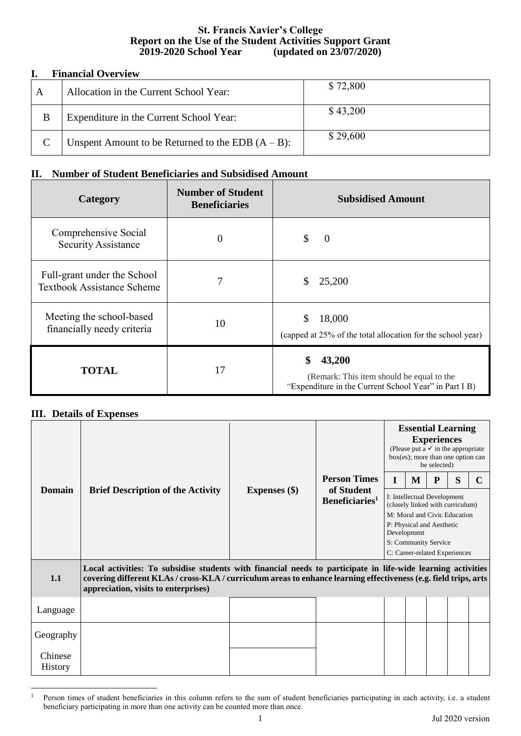## **St. Francis Xavier's College Report on the Use of the Student Activities Support Grant 2019-2020 School Year (updated on 23/07/2020)**

## **I. Financial Overview**

| A | Allocation in the Current School Year:               | \$72,800 |  |  |  |
|---|------------------------------------------------------|----------|--|--|--|
| B | Expenditure in the Current School Year:              | \$43,200 |  |  |  |
|   | Unspent Amount to be Returned to the EDB $(A - B)$ : | \$29,600 |  |  |  |

## **II. Number of Student Beneficiaries and Subsidised Amount**

| Category                                                         | <b>Number of Student</b><br><b>Beneficiaries</b> | <b>Subsidised Amount</b>                                                                                           |
|------------------------------------------------------------------|--------------------------------------------------|--------------------------------------------------------------------------------------------------------------------|
| Comprehensive Social<br><b>Security Assistance</b>               | $\Omega$                                         | \$<br>$\boldsymbol{0}$                                                                                             |
| Full-grant under the School<br><b>Textbook Assistance Scheme</b> | 7                                                | 25,200                                                                                                             |
| Meeting the school-based<br>financially needy criteria           | 10                                               | 18,000<br>\$<br>(capped at 25% of the total allocation for the school year)                                        |
| <b>TOTAL</b>                                                     | 17                                               | \$<br>43,200<br>(Remark: This item should be equal to the<br>"Expenditure in the Current School Year" in Part I B) |

## **III. Details of Expenses**

|                                                                                                                                                                                                                                                                                 | <b>Brief Description of the Activity</b> | Expenses $(\$)$ | <b>Person Times</b><br>of Student<br>Beneficiaries <sup>1</sup> | <b>Essential Learning</b><br><b>Experiences</b><br>(Please put a $\checkmark$ in the appropriate<br>$box(es)$ ; more than one option can<br>be selected)                                             |   |   |   |  |  |  |
|---------------------------------------------------------------------------------------------------------------------------------------------------------------------------------------------------------------------------------------------------------------------------------|------------------------------------------|-----------------|-----------------------------------------------------------------|------------------------------------------------------------------------------------------------------------------------------------------------------------------------------------------------------|---|---|---|--|--|--|
|                                                                                                                                                                                                                                                                                 |                                          |                 |                                                                 | I                                                                                                                                                                                                    | M | P | S |  |  |  |
| <b>Domain</b>                                                                                                                                                                                                                                                                   |                                          |                 |                                                                 | I: Intellectual Development<br>(closely linked with curriculum)<br>M: Moral and Civic Education<br>P: Physical and Aesthetic<br>Development<br>S: Community Service<br>C: Career-related Experiences |   |   |   |  |  |  |
| Local activities: To subsidise students with financial needs to participate in life-wide learning activities<br>covering different KLAs / cross-KLA / curriculum areas to enhance learning effectiveness (e.g. field trips, arts<br>1.1<br>appreciation, visits to enterprises) |                                          |                 |                                                                 |                                                                                                                                                                                                      |   |   |   |  |  |  |
| Language                                                                                                                                                                                                                                                                        |                                          |                 |                                                                 |                                                                                                                                                                                                      |   |   |   |  |  |  |
| Geography                                                                                                                                                                                                                                                                       |                                          |                 |                                                                 |                                                                                                                                                                                                      |   |   |   |  |  |  |
| Chinese<br><b>History</b>                                                                                                                                                                                                                                                       |                                          |                 |                                                                 |                                                                                                                                                                                                      |   |   |   |  |  |  |

 $\overline{a}$ <sup>1</sup> Person times of student beneficiaries in this column refers to the sum of student beneficiaries participating in each activity, i.e. a student beneficiary participating in more than one activity can be counted more than once.